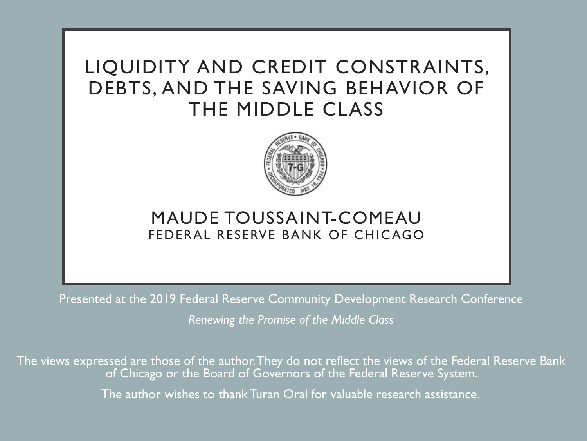# LIQUIDITY AND CREDIT CONSTRAINTS, DEBTS, AND THE SAVING BEHAVIOR OF THE MIDDLE CLASS



### FEDERAL RESERVE BANK OF CHICAGO MAUDE TOUSSAINT-COMEAU

 Presented at the 2019 Federal Reserve Community Development Research Conference  *Renewing the Promise of the Middle Class* 

 The views expressed are those of the author.They do not reflect the views of the Federal Reserve Bank The author wishes to thank Turan Oral for valuable research assistance.. of Chicago or the Board of Governors of the Federal Reserve System.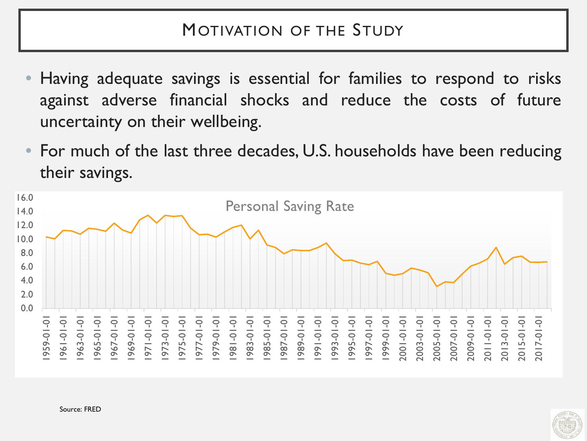## MOTIVATION OF THE STUDY

- Having adequate savings is essential for families to respond to risks against adverse financial shocks and reduce the costs of future uncertainty on their wellbeing.
- For much of the last three decades, U.S. households have been reducing their savings.



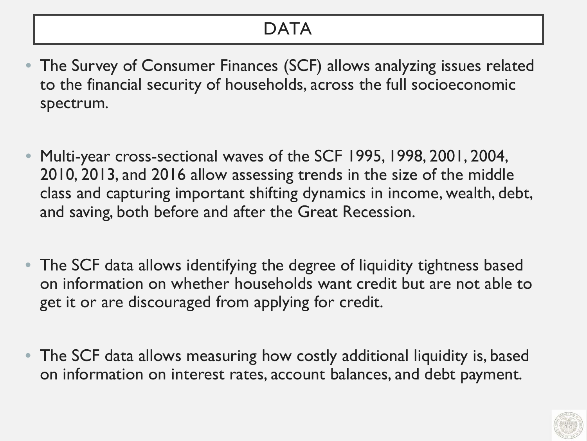# **DATA**

- The Survey of Consumer Finances (SCF) allows analyzing issues related to the financial security of households, across the full socioeconomic spectrum.
- class and capturing important shifting dynamics in income, wealth, debt, and saving, both before and after the Great Recession. Multi-year cross-sectional waves of the SCF 1995, 1998, 2001, 2004, 2010, 2013, and 2016 allow assessing trends in the size of the middle
- on information on whether households want credit but are not able to get it or are discouraged from applying for credit. • The SCF data allows identifying the degree of liquidity tightness based
- The SCF data allows measuring how costly additional liquidity is, based on information on interest rates, account balances, and debt payment.

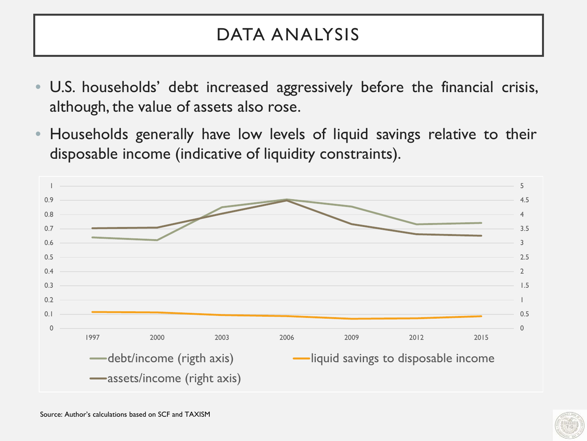# DATA ANALYSIS

- U.S. households' debt increased aggressively before the financial crisis, although, the value of assets also rose.
- Households generally have low levels of liquid savings relative to their disposable income (indicative of liquidity constraints).



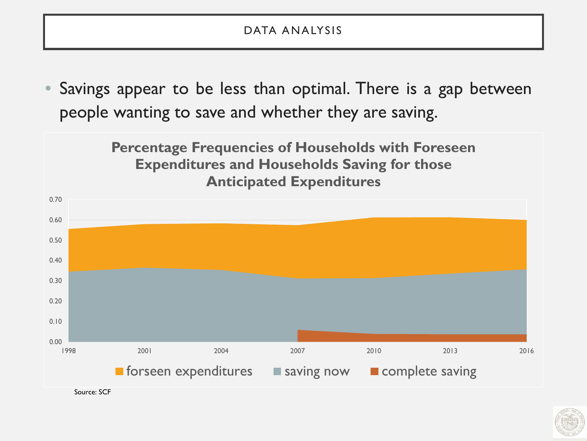### DATA ANALYSIS

Savings appear to be less than optimal. There is a gap between people wanting to save and whether they are saving.

> **Percentage Frequencies of Households with Foreseen Expenditures and Households Saving for those Anticipated Expenditures**



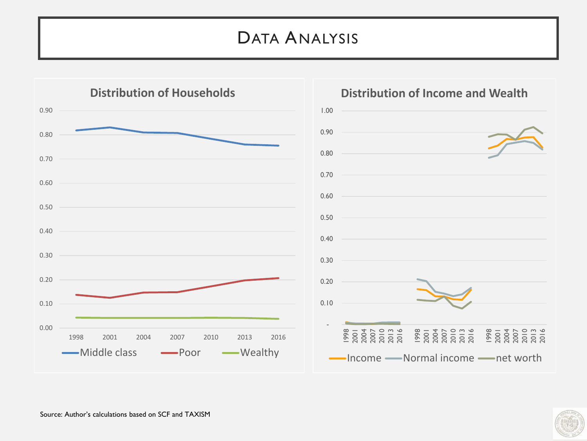# DATA ANALYSIS



#### **Distribution of Income and Wealth**

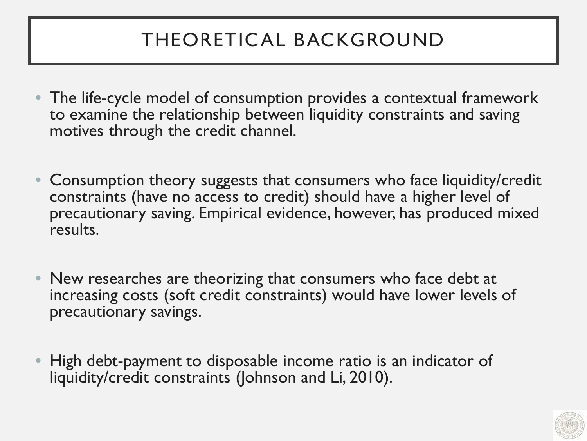# THEORETICAL BACKGROUND

- The life-cycle model of consumption provides a contextual framework to examine the relationship between liquidity constraints and saving motives through the credit channel.
- constraints (have no access to credit) should have a higher level of • Consumption theory suggests that consumers who face liquidity/credit precautionary saving. Empirical evidence, however, has produced mixed results.
- increasing costs (soft credit constraints) would have lower levels of • New researches are theorizing that consumers who face debt at precautionary savings.
- High debt-payment to disposable income ratio is an indicator of liquidity/credit constraints (Johnson and Li, 2010).

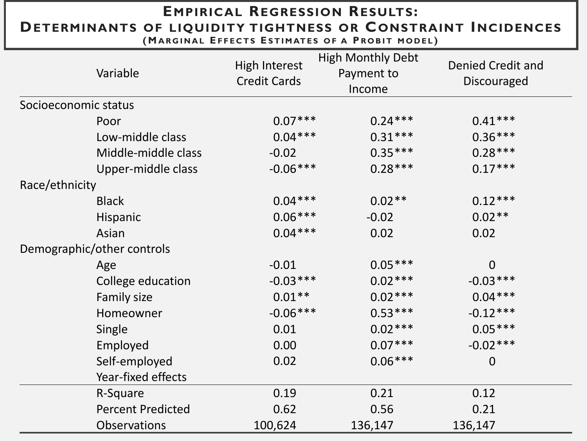## **EMPIRICAL REGRESSION RESULTS: DETERMINANTS OF LIQUIDITY TIGHTNESS OR CONSTRAINT INCIDENCES**

**(MARGINAL EFFECTS ESTIMATES OF A PROBIT MODEL)** 

| Variable                   | <b>High Interest</b><br><b>Credit Cards</b> | <b>High Monthly Debt</b><br>Payment to<br>Income | Denied Credit and<br><b>Discouraged</b> |  |
|----------------------------|---------------------------------------------|--------------------------------------------------|-----------------------------------------|--|
| Socioeconomic status       |                                             |                                                  |                                         |  |
| Poor                       | $0.07***$                                   | $0.24***$                                        | $0.41***$                               |  |
| Low-middle class           | $0.04***$                                   | $0.31***$                                        | $0.36***$                               |  |
| Middle-middle class        | $-0.02$                                     | $0.35***$                                        | $0.28***$                               |  |
| Upper-middle class         | $-0.06***$                                  | $0.28***$                                        | $0.17***$                               |  |
| Race/ethnicity             |                                             |                                                  |                                         |  |
| <b>Black</b>               | $0.04***$                                   | $0.02**$                                         | $0.12***$                               |  |
| Hispanic                   | $0.06***$                                   | $-0.02$                                          | $0.02**$                                |  |
| Asian                      | $0.04***$                                   | 0.02                                             | 0.02                                    |  |
| Demographic/other controls |                                             |                                                  |                                         |  |
| Age                        | $-0.01$                                     | $0.05***$                                        | $\overline{0}$                          |  |
| College education          | $-0.03***$                                  | $0.02***$                                        | $-0.03***$                              |  |
| Family size                | $0.01**$                                    | $0.02***$                                        | $0.04***$                               |  |
| Homeowner                  | $-0.06***$                                  | $0.53***$                                        | $-0.12***$                              |  |
| Single                     | 0.01                                        | $0.02***$                                        | $0.05***$                               |  |
| Employed                   | 0.00                                        | $0.07***$                                        | $-0.02***$                              |  |
| Self-employed              | 0.02                                        | $0.06***$                                        | $\overline{0}$                          |  |
| Year-fixed effects         |                                             |                                                  |                                         |  |
| R-Square                   | 0.19                                        | 0.21                                             | 0.12                                    |  |
| <b>Percent Predicted</b>   | 0.62                                        | 0.56                                             | 0.21                                    |  |
| <b>Observations</b>        | 100,624                                     | 136,147                                          | 136,147                                 |  |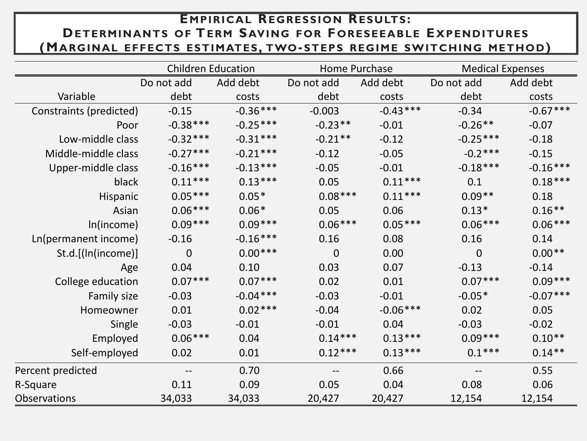### **E MPIRICAL REGRESSION RESULTS: DETERMINANTS OF TERM SAVING FOR F ORESEEABLE E XPENDITURES (M ARGINAL EFFECTS ESTIMATES, TWO- STEPS REGIME SWITCHING METHOD)**

 $\overline{a}$ 

|                         | <b>Children Education</b> |            | Home Purchase  |            | <b>Medical Expenses</b> |            |
|-------------------------|---------------------------|------------|----------------|------------|-------------------------|------------|
|                         | Do not add                | Add debt   | Do not add     | Add debt   | Do not add              | Add debt   |
| Variable                | debt                      | costs      | debt           | costs      | debt                    | costs      |
| Constraints (predicted) | $-0.15$                   | $-0.36***$ | $-0.003$       | $-0.43***$ | $-0.34$                 | $-0.67***$ |
| Poor                    | $-0.38***$                | $-0.25***$ | $-0.23**$      | $-0.01$    | $-0.26**$               | $-0.07$    |
| Low-middle class        | $-0.32***$                | $-0.31***$ | $-0.21**$      | $-0.12$    | $-0.25***$              | $-0.18$    |
| Middle-middle class     | $-0.27***$                | $-0.21***$ | $-0.12$        | $-0.05$    | $-0.2***$               | $-0.15$    |
| Upper-middle class      | $-0.16***$                | $-0.13***$ | $-0.05$        | $-0.01$    | $-0.18***$              | $-0.16***$ |
| black                   | $0.11***$                 | $0.13***$  | 0.05           | $0.11***$  | 0.1                     | $0.18***$  |
| Hispanic                | $0.05***$                 | $0.05*$    | $0.08***$      | $0.11***$  | $0.09**$                | 0.18       |
| Asian                   | $0.06***$                 | $0.06*$    | 0.05           | 0.06       | $0.13*$                 | $0.16***$  |
| In(income)              | $0.09***$                 | $0.09***$  | $0.06***$      | $0.05***$  | $0.06***$               | $0.06***$  |
| Ln(permanent income)    | $-0.16$                   | $-0.16***$ | 0.16           | 0.08       | 0.16                    | 0.14       |
| St.d.[(In(income)]      | $\overline{0}$            | $0.00***$  | $\overline{0}$ | 0.00       | $\mathbf 0$             | $0.00**$   |
| Age                     | 0.04                      | 0.10       | 0.03           | 0.07       | $-0.13$                 | $-0.14$    |
| College education       | $0.07***$                 | $0.07***$  | 0.02           | 0.01       | $0.07***$               | $0.09***$  |
| Family size             | $-0.03$                   | $-0.04***$ | $-0.03$        | $-0.01$    | $-0.05*$                | $-0.07***$ |
| Homeowner               | 0.01                      | $0.02***$  | $-0.04$        | $-0.06***$ | 0.02                    | 0.05       |
| Single                  | $-0.03$                   | $-0.01$    | $-0.01$        | 0.04       | $-0.03$                 | $-0.02$    |
| Employed                | $0.06***$                 | 0.04       | $0.14***$      | $0.13***$  | $0.09***$               | $0.10**$   |
| Self-employed           | 0.02                      | 0.01       | $0.12***$      | $0.13***$  | $0.1***$                | $0.14***$  |
| Percent predicted       |                           | 0.70       |                | 0.66       |                         | 0.55       |
| R-Square                | 0.11                      | 0.09       | 0.05           | 0.04       | 0.08                    | 0.06       |
| <b>Observations</b>     | 34,033                    | 34,033     | 20,427         | 20,427     | 12,154                  | 12,154     |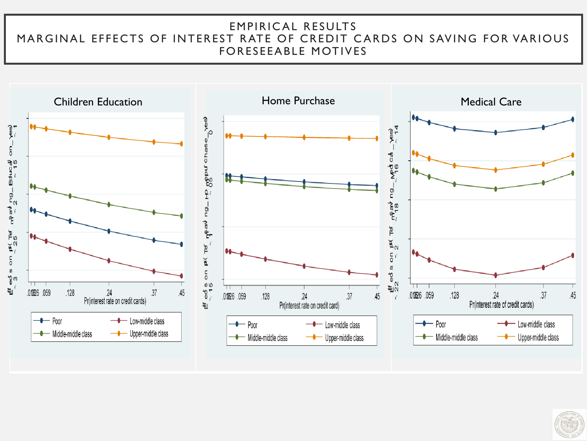### MARGINAL EFFECTS OF INTEREST RATE OF CREDIT CARDS ON SAVING FOR VARIOUS EMPIRICAL RESULTS FORESEEABLE MOTIVES



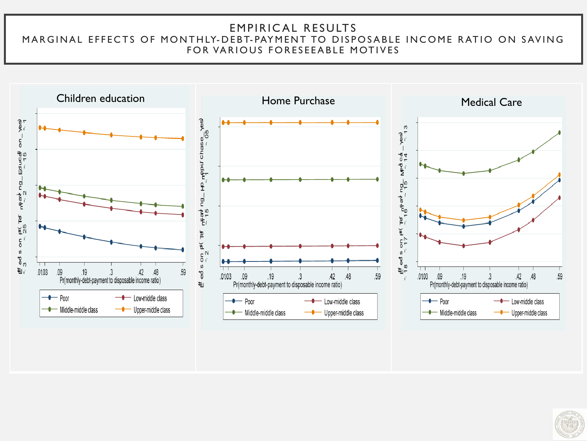#### MARGINAL EFFECTS OF MONTHLY- DEBT- PAYMENT TO DISPOSABLE INCOME RATIO ON SAVING EMPIRICAL RESULTS FOR VARIOUS FORESEEABLE MOTIVES